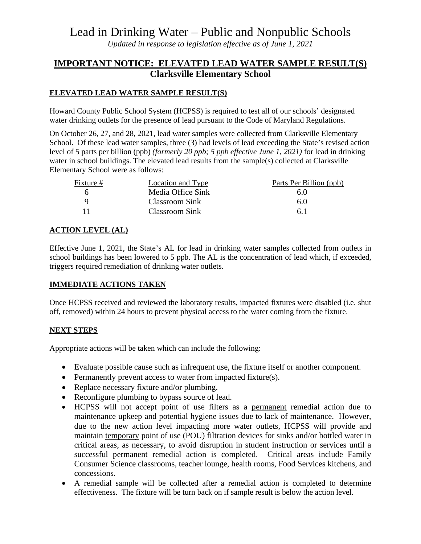# Lead in Drinking Water – Public and Nonpublic Schools

*Updated in response to legislation effective as of June 1, 2021*

# **IMPORTANT NOTICE: ELEVATED LEAD WATER SAMPLE RESULT(S) Clarksville Elementary School**

### **ELEVATED LEAD WATER SAMPLE RESULT(S)**

Howard County Public School System (HCPSS) is required to test all of our schools' designated water drinking outlets for the presence of lead pursuant to the Code of Maryland Regulations.

On October 26, 27, and 28, 2021, lead water samples were collected from Clarksville Elementary School. Of these lead water samples, three (3) had levels of lead exceeding the State's revised action level of 5 parts per billion (ppb) *(formerly 20 ppb; 5 ppb effective June 1, 2021)* for lead in drinking water in school buildings. The elevated lead results from the sample(s) collected at Clarksville Elementary School were as follows:

| Fixture # | Location and Type     | Parts Per Billion (ppb) |
|-----------|-----------------------|-------------------------|
|           | Media Office Sink     | 6.0                     |
|           | Classroom Sink        | 6.0                     |
|           | <b>Classroom Sink</b> | 61                      |

## **ACTION LEVEL (AL)**

Effective June 1, 2021, the State's AL for lead in drinking water samples collected from outlets in school buildings has been lowered to 5 ppb. The AL is the concentration of lead which, if exceeded, triggers required remediation of drinking water outlets.

#### **IMMEDIATE ACTIONS TAKEN**

Once HCPSS received and reviewed the laboratory results, impacted fixtures were disabled (i.e. shut off, removed) within 24 hours to prevent physical access to the water coming from the fixture.

#### **NEXT STEPS**

Appropriate actions will be taken which can include the following:

- Evaluate possible cause such as infrequent use, the fixture itself or another component.
- Permanently prevent access to water from impacted fixture(s).
- Replace necessary fixture and/or plumbing.
- Reconfigure plumbing to bypass source of lead.
- HCPSS will not accept point of use filters as a permanent remedial action due to maintenance upkeep and potential hygiene issues due to lack of maintenance. However, due to the new action level impacting more water outlets, HCPSS will provide and maintain temporary point of use (POU) filtration devices for sinks and/or bottled water in critical areas, as necessary, to avoid disruption in student instruction or services until a successful permanent remedial action is completed. Critical areas include Family Consumer Science classrooms, teacher lounge, health rooms, Food Services kitchens, and concessions.
- A remedial sample will be collected after a remedial action is completed to determine effectiveness. The fixture will be turn back on if sample result is below the action level.